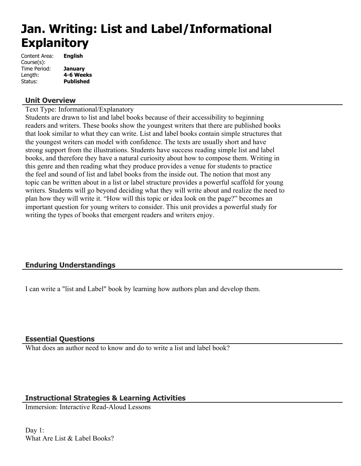# **Jan. Writing: List and Label/Informational Explanitory**

| <b>English</b>   |
|------------------|
|                  |
| <b>January</b>   |
| 4-6 Weeks        |
| <b>Published</b> |
|                  |

## **Unit Overview**

Text Type: Informational/Explanatory

Students are drawn to list and label books because of their accessibility to beginning readers and writers. These books show the youngest writers that there are published books that look similar to what they can write. List and label books contain simple structures that the youngest writers can model with confidence. The texts are usually short and have strong support from the illustrations. Students have success reading simple list and label books, and therefore they have a natural curiosity about how to compose them. Writing in this genre and then reading what they produce provides a venue for students to practice the feel and sound of list and label books from the inside out. The notion that most any topic can be written about in a list or label structure provides a powerful scaffold for young writers. Students will go beyond deciding what they will write about and realize the need to plan how they will write it. "How will this topic or idea look on the page?" becomes an important question for young writers to consider. This unit provides a powerful study for writing the types of books that emergent readers and writers enjoy.

# **Enduring Understandings**

I can write a "list and Label" book by learning how authors plan and develop them.

## **Essential Questions**

What does an author need to know and do to write a list and label book?

## **Instructional Strategies & Learning Activities**

Immersion: Interactive Read-Aloud Lessons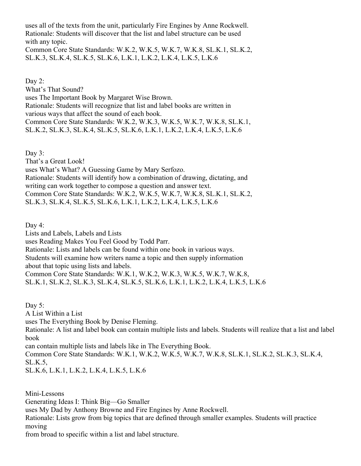uses all of the texts from the unit, particularly Fire Engines by Anne Rockwell. Rationale: Students will discover that the list and label structure can be used with any topic. Common Core State Standards: W.K.2, W.K.5, W.K.7, W.K.8, SL.K.1, SL.K.2, SL.K.3, SL.K.4, SL.K.5, SL.K.6, L.K.1, L.K.2, L.K.4, L.K.5, L.K.6

Day 2: What's That Sound? uses The Important Book by Margaret Wise Brown. Rationale: Students will recognize that list and label books are written in various ways that affect the sound of each book. Common Core State Standards: W.K.2, W.K.3, W.K.5, W.K.7, W.K.8, SL.K.1, SL.K.2, SL.K.3, SL.K.4, SL.K.5, SL.K.6, L.K.1, L.K.2, L.K.4, L.K.5, L.K.6

Day 3:

That's a Great Look! uses What's What? A Guessing Game by Mary Serfozo. Rationale: Students will identify how a combination of drawing, dictating, and writing can work together to compose a question and answer text. Common Core State Standards: W.K.2, W.K.5, W.K.7, W.K.8, SL.K.1, SL.K.2,

SL.K.3, SL.K.4, SL.K.5, SL.K.6, L.K.1, L.K.2, L.K.4, L.K.5, L.K.6

Day 4:

Lists and Labels, Labels and Lists uses Reading Makes You Feel Good by Todd Parr. Rationale: Lists and labels can be found within one book in various ways. Students will examine how writers name a topic and then supply information about that topic using lists and labels. Common Core State Standards: W.K.1, W.K.2, W.K.3, W.K.5, W.K.7, W.K.8, SL.K.1, SL.K.2, SL.K.3, SL.K.4, SL.K.5, SL.K.6, L.K.1, L.K.2, L.K.4, L.K.5, L.K.6

Day 5: A List Within a List uses The Everything Book by Denise Fleming. Rationale: A list and label book can contain multiple lists and labels. Students will realize that a list and label book can contain multiple lists and labels like in The Everything Book. Common Core State Standards: W.K.1, W.K.2, W.K.5, W.K.7, W.K.8, SL.K.1, SL.K.2, SL.K.3, SL.K.4, SL.K.5,

SL.K.6, L.K.1, L.K.2, L.K.4, L.K.5, L.K.6

Mini-Lessons Generating Ideas I: Think Big—Go Smaller uses My Dad by Anthony Browne and Fire Engines by Anne Rockwell. Rationale: Lists grow from big topics that are defined through smaller examples. Students will practice moving

from broad to specific within a list and label structure.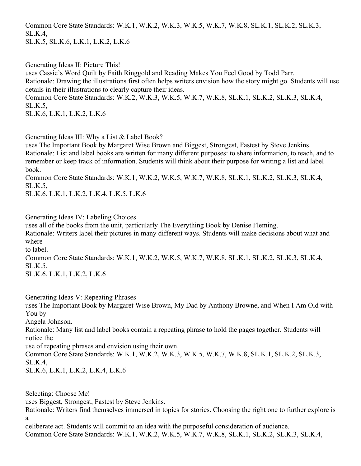Common Core State Standards: W.K.1, W.K.2, W.K.3, W.K.5, W.K.7, W.K.8, SL.K.1, SL.K.2, SL.K.3, SL.K.4, SL.K.5, SL.K.6, L.K.1, L.K.2, L.K.6

Generating Ideas II: Picture This! uses Cassie's Word Quilt by Faith Ringgold and Reading Makes You Feel Good by Todd Parr. Rationale: Drawing the illustrations first often helps writers envision how the story might go. Students will use details in their illustrations to clearly capture their ideas. Common Core State Standards: W.K.2, W.K.3, W.K.5, W.K.7, W.K.8, SL.K.1, SL.K.2, SL.K.3, SL.K.4, SL.K.5,

SL.K.6, L.K.1, L.K.2, L.K.6

Generating Ideas III: Why a List & Label Book?

uses The Important Book by Margaret Wise Brown and Biggest, Strongest, Fastest by Steve Jenkins. Rationale: List and label books are written for many different purposes: to share information, to teach, and to remember or keep track of information. Students will think about their purpose for writing a list and label book.

Common Core State Standards: W.K.1, W.K.2, W.K.5, W.K.7, W.K.8, SL.K.1, SL.K.2, SL.K.3, SL.K.4, SL.K.5,

SL.K.6, L.K.1, L.K.2, L.K.4, L.K.5, L.K.6

Generating Ideas IV: Labeling Choices

uses all of the books from the unit, particularly The Everything Book by Denise Fleming.

Rationale: Writers label their pictures in many different ways. Students will make decisions about what and where

to label.

Common Core State Standards: W.K.1, W.K.2, W.K.5, W.K.7, W.K.8, SL.K.1, SL.K.2, SL.K.3, SL.K.4, SL.K.5,

SL.K.6, L.K.1, L.K.2, L.K.6

Generating Ideas V: Repeating Phrases

uses The Important Book by Margaret Wise Brown, My Dad by Anthony Browne, and When I Am Old with You by

Angela Johnson.

Rationale: Many list and label books contain a repeating phrase to hold the pages together. Students will notice the

use of repeating phrases and envision using their own.

Common Core State Standards: W.K.1, W.K.2, W.K.3, W.K.5, W.K.7, W.K.8, SL.K.1, SL.K.2, SL.K.3, SL.K.4,

SL.K.6, L.K.1, L.K.2, L.K.4, L.K.6

Selecting: Choose Me!

uses Biggest, Strongest, Fastest by Steve Jenkins.

Rationale: Writers find themselves immersed in topics for stories. Choosing the right one to further explore is a

deliberate act. Students will commit to an idea with the purposeful consideration of audience. Common Core State Standards: W.K.1, W.K.2, W.K.5, W.K.7, W.K.8, SL.K.1, SL.K.2, SL.K.3, SL.K.4,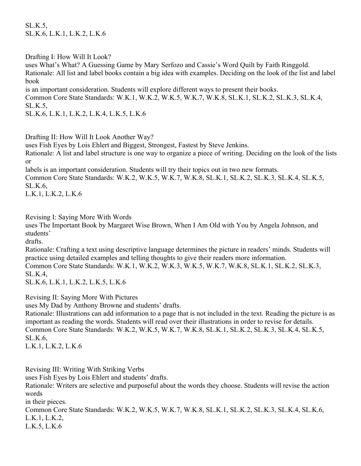SL.K.5, SL.K.6, L.K.1, L.K.2, L.K.6

Drafting I: How Will It Look?

uses What's What? A Guessing Game by Mary Serfozo and Cassie's Word Quilt by Faith Ringgold. Rationale: All list and label books contain a big idea with examples. Deciding on the look of the list and label book

is an important consideration. Students will explore different ways to present their books. Common Core State Standards: W.K.1, W.K.2, W.K.5, W.K.7, W.K.8, SL.K.1, SL.K.2, SL.K.3, SL.K.4, SL.K.5,

SL.K.6, L.K.1, L.K.2, L.K.4, L.K.5, L.K.6

Drafting II: How Will It Look Another Way?

uses Fish Eyes by Lois Ehlert and Biggest, Strongest, Fastest by Steve Jenkins.

Rationale: A list and label structure is one way to organize a piece of writing. Deciding on the look of the lists or

labels is an important consideration. Students will try their topics out in two new formats.

Common Core State Standards: W.K.2, W.K.5, W.K.7, W.K.8, SL.K.1, SL.K.2, SL.K.3, SL.K.4, SL.K.5, SL.K.6,

L.K.1, L.K.2, L.K.6

Revising I: Saying More With Words

uses The Important Book by Margaret Wise Brown, When I Am Old with You by Angela Johnson, and students'

drafts.

Rationale: Crafting a text using descriptive language determines the picture in readers' minds. Students will practice using detailed examples and telling thoughts to give their readers more information.

Common Core State Standards: W.K.1, W.K.2, W.K.3, W.K.5, W.K.7, W.K.8, SL.K.1, SL.K.2, SL.K.3, SL.K.4,

SL.K.6, L.K.1, L.K.2, L.K.5, L.K.6

Revising II: Saying More With Pictures

uses My Dad by Anthony Browne and students' drafts.

Rationale: Illustrations can add information to a page that is not included in the text. Reading the picture is as important as reading the words. Students will read over their illustrations in order to revise for details. Common Core State Standards: W.K.2, W.K.5, W.K.7, W.K.8, SL.K.1, SL.K.2, SL.K.3, SL.K.4, SL.K.5, SL.K.6,

L.K.1, L.K.2, L.K.6

Revising III: Writing With Striking Verbs

uses Fish Eyes by Lois Ehlert and students' drafts.

Rationale: Writers are selective and purposeful about the words they choose. Students will revise the action words

in their pieces.

Common Core State Standards: W.K.2, W.K.5, W.K.7, W.K.8, SL.K.1, SL.K.2, SL.K.3, SL.K.4, SL.K.6, L.K.1, L.K.2, L.K.5, L.K.6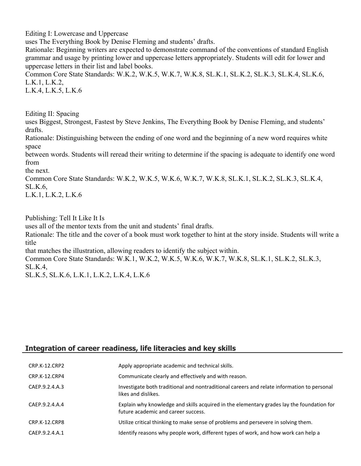Editing I: Lowercase and Uppercase

uses The Everything Book by Denise Fleming and students' drafts.

Rationale: Beginning writers are expected to demonstrate command of the conventions of standard English grammar and usage by printing lower and uppercase letters appropriately. Students will edit for lower and uppercase letters in their list and label books.

Common Core State Standards: W.K.2, W.K.5, W.K.7, W.K.8, SL.K.1, SL.K.2, SL.K.3, SL.K.4, SL.K.6, L.K.1, L.K.2,

L.K.4, L.K.5, L.K.6

Editing II: Spacing

uses Biggest, Strongest, Fastest by Steve Jenkins, The Everything Book by Denise Fleming, and students' drafts.

Rationale: Distinguishing between the ending of one word and the beginning of a new word requires white space

between words. Students will reread their writing to determine if the spacing is adequate to identify one word from

the next.

Common Core State Standards: W.K.2, W.K.5, W.K.6, W.K.7, W.K.8, SL.K.1, SL.K.2, SL.K.3, SL.K.4, SL.K.6,

L.K.1, L.K.2, L.K.6

Publishing: Tell It Like It Is

uses all of the mentor texts from the unit and students' final drafts.

Rationale: The title and the cover of a book must work together to hint at the story inside. Students will write a title

that matches the illustration, allowing readers to identify the subject within.

Common Core State Standards: W.K.1, W.K.2, W.K.5, W.K.6, W.K.7, W.K.8, SL.K.1, SL.K.2, SL.K.3, SL.K.4,

SL.K.5, SL.K.6, L.K.1, L.K.2, L.K.4, L.K.6

## **Integration of career readiness, life literacies and key skills**

| CRP.K-12.CRP2  | Apply appropriate academic and technical skills.                                                                                 |
|----------------|----------------------------------------------------------------------------------------------------------------------------------|
| CRP.K-12.CRP4  | Communicate clearly and effectively and with reason.                                                                             |
| CAEP.9.2.4.A.3 | Investigate both traditional and nontraditional careers and relate information to personal<br>likes and dislikes.                |
| CAEP.9.2.4.A.4 | Explain why knowledge and skills acquired in the elementary grades lay the foundation for<br>future academic and career success. |
| CRP.K-12.CRP8  | Utilize critical thinking to make sense of problems and persevere in solving them.                                               |
| CAEP.9.2.4.A.1 | Identify reasons why people work, different types of work, and how work can help a                                               |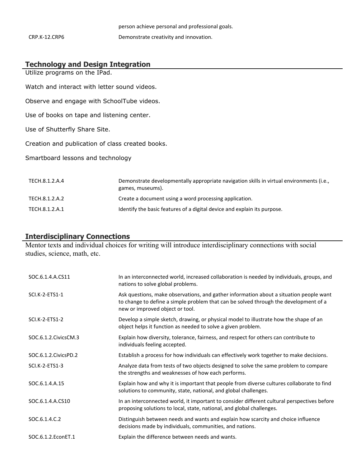|               | person achieve personal and professional goals. |
|---------------|-------------------------------------------------|
| CRP.K-12.CRP6 | Demonstrate creativity and innovation.          |

## **Technology and Design Integration**

Utilize programs on the IPad.

Watch and interact with letter sound videos.

Observe and engage with SchoolTube videos.

Use of books on tape and listening center.

Use of Shutterfly Share Site.

Creation and publication of class created books.

Smartboard lessons and technology

| TECH.8.1.2.A.4 | Demonstrate developmentally appropriate navigation skills in virtual environments (i.e.,<br>games, museums). |
|----------------|--------------------------------------------------------------------------------------------------------------|
| TECH.8.1.2.A.2 | Create a document using a word processing application.                                                       |
| TECH.8.1.2.A.1 | Identify the basic features of a digital device and explain its purpose.                                     |

#### **Interdisciplinary Connections**

Mentor texts and individual choices for writing will introduce interdisciplinary connections with social studies, science, math, etc.

| SOC.6.1.4.A.CS11       | In an interconnected world, increased collaboration is needed by individuals, groups, and<br>nations to solve global problems.                                                                                    |
|------------------------|-------------------------------------------------------------------------------------------------------------------------------------------------------------------------------------------------------------------|
| SCI.K-2-ETS1-1         | Ask questions, make observations, and gather information about a situation people want<br>to change to define a simple problem that can be solved through the development of a<br>new or improved object or tool. |
| SCI.K-2-ETS1-2         | Develop a simple sketch, drawing, or physical model to illustrate how the shape of an<br>object helps it function as needed to solve a given problem.                                                             |
| SOC.6.1.2. Civics CM.3 | Explain how diversity, tolerance, fairness, and respect for others can contribute to<br>individuals feeling accepted.                                                                                             |
| SOC.6.1.2. Civics PD.2 | Establish a process for how individuals can effectively work together to make decisions.                                                                                                                          |
| SCI.K-2-ETS1-3         | Analyze data from tests of two objects designed to solve the same problem to compare<br>the strengths and weaknesses of how each performs.                                                                        |
| SOC.6.1.4.A.15         | Explain how and why it is important that people from diverse cultures collaborate to find<br>solutions to community, state, national, and global challenges.                                                      |
| SOC.6.1.4.A.CS10       | In an interconnected world, it important to consider different cultural perspectives before<br>proposing solutions to local, state, national, and global challenges.                                              |
| SOC.6.1.4.C.2          | Distinguish between needs and wants and explain how scarcity and choice influence<br>decisions made by individuals, communities, and nations.                                                                     |
| SOC.6.1.2. EconET.1    | Explain the difference between needs and wants.                                                                                                                                                                   |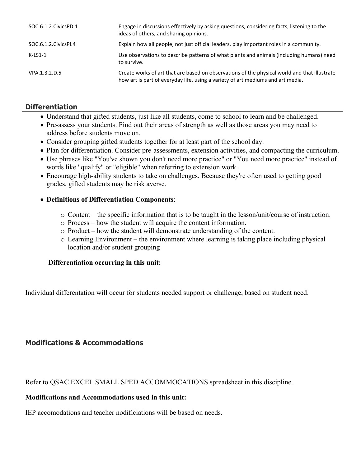| SOC.6.1.2. Civics PD.1 | Engage in discussions effectively by asking questions, considering facts, listening to the<br>ideas of others, and sharing opinions.                                            |
|------------------------|---------------------------------------------------------------------------------------------------------------------------------------------------------------------------------|
| SOC.6.1.2.CivicsPI.4   | Explain how all people, not just official leaders, play important roles in a community.                                                                                         |
| $K-LS1-1$              | Use observations to describe patterns of what plants and animals (including humans) need<br>to survive.                                                                         |
| VPA.1.3.2.D.5          | Create works of art that are based on observations of the physical world and that illustrate<br>how art is part of everyday life, using a variety of art mediums and art media. |

## **Differentiation**

- Understand that gifted students, just like all students, come to school to learn and be challenged.
- Pre-assess your students. Find out their areas of strength as well as those areas you may need to address before students move on.
- Consider grouping gifted students together for at least part of the school day.
- Plan for differentiation. Consider pre-assessments, extension activities, and compacting the curriculum.
- Use phrases like "You've shown you don't need more practice" or "You need more practice" instead of words like "qualify" or "eligible" when referring to extension work.
- Encourage high-ability students to take on challenges. Because they're often used to getting good grades, gifted students may be risk averse.

## **Definitions of Differentiation Components**:

- o Content the specific information that is to be taught in the lesson/unit/course of instruction.
- o Process how the student will acquire the content information.
- o Product how the student will demonstrate understanding of the content.
- o Learning Environment the environment where learning is taking place including physical location and/or student grouping

## **Differentiation occurring in this unit:**

Individual differentation will occur for students needed support or challenge, based on student need.

## **Modifications & Accommodations**

Refer to QSAC EXCEL SMALL SPED ACCOMMOCATIONS spreadsheet in this discipline.

## **Modifications and Accommodations used in this unit:**

IEP accomodations and teacher nodificiations will be based on needs.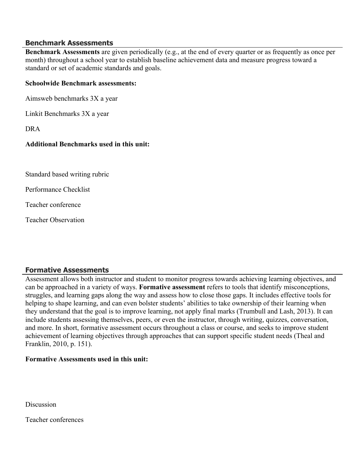#### **Benchmark Assessments**

**Benchmark Assessments** are given periodically (e.g., at the end of every quarter or as frequently as once per month) throughout a school year to establish baseline achievement data and measure progress toward a standard or set of academic standards and goals.

#### **Schoolwide Benchmark assessments:**

Aimsweb benchmarks 3X a year

Linkit Benchmarks 3X a year

DRA

## **Additional Benchmarks used in this unit:**

Standard based writing rubric

Performance Checklist

Teacher conference

Teacher Observation

## **Formative Assessments**

Assessment allows both instructor and student to monitor progress towards achieving learning objectives, and can be approached in a variety of ways. **Formative assessment** refers to tools that identify misconceptions, struggles, and learning gaps along the way and assess how to close those gaps. It includes effective tools for helping to shape learning, and can even bolster students' abilities to take ownership of their learning when they understand that the goal is to improve learning, not apply final marks (Trumbull and Lash, 2013). It can include students assessing themselves, peers, or even the instructor, through writing, quizzes, conversation, and more. In short, formative assessment occurs throughout a class or course, and seeks to improve student achievement of learning objectives through approaches that can support specific student needs (Theal and Franklin, 2010, p. 151).

## **Formative Assessments used in this unit:**

**Discussion** 

Teacher conferences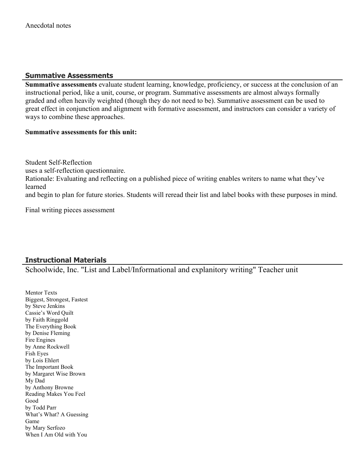## **Summative Assessments**

**Summative assessments** evaluate student learning, knowledge, proficiency, or success at the conclusion of an instructional period, like a unit, course, or program. Summative assessments are almost always formally graded and often heavily weighted (though they do not need to be). Summative assessment can be used to great effect in conjunction and alignment with formative assessment, and instructors can consider a variety of ways to combine these approaches.

#### **Summative assessments for this unit:**

Student Self-Reflection uses a self-reflection questionnaire. Rationale: Evaluating and reflecting on a published piece of writing enables writers to name what they've learned and begin to plan for future stories. Students will reread their list and label books with these purposes in mind.

Final writing pieces assessment

# **Instructional Materials**

Schoolwide, Inc. "List and Label/Informational and explanitory writing" Teacher unit

Mentor Texts Biggest, Strongest, Fastest by Steve Jenkins Cassie's Word Quilt by Faith Ringgold The Everything Book by Denise Fleming Fire Engines by Anne Rockwell Fish Eyes by Lois Ehlert The Important Book by Margaret Wise Brown My Dad by Anthony Browne Reading Makes You Feel Good by Todd Parr What's What? A Guessing Game by Mary Serfozo When I Am Old with You